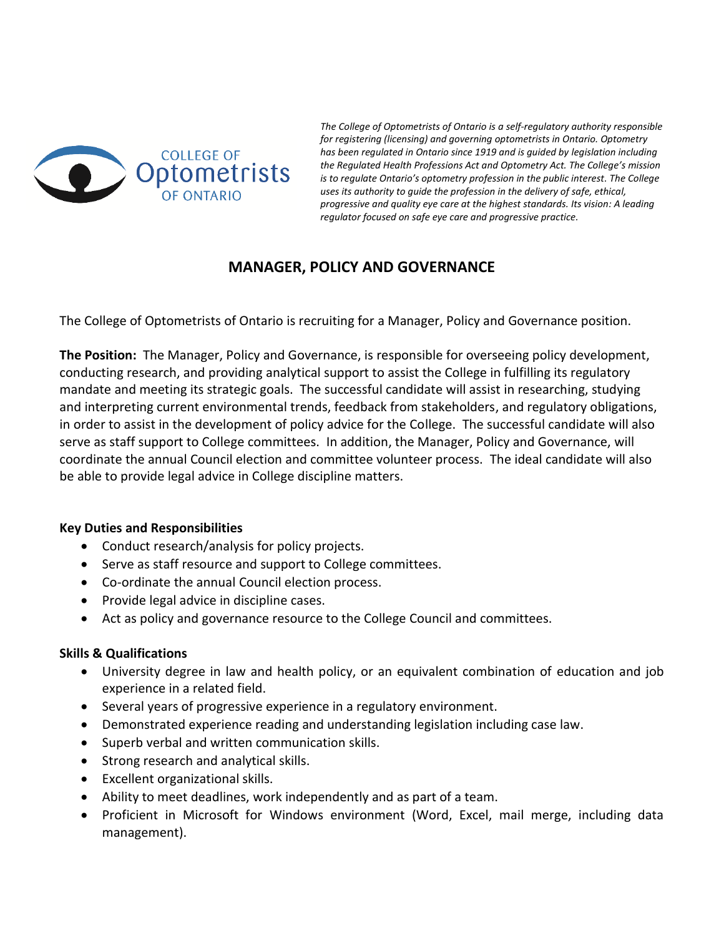

*The College of Optometrists of Ontario is a self-regulatory authority responsible for registering (licensing) and governing optometrists in Ontario. Optometry has been regulated in Ontario since 1919 and is guided by legislation including the Regulated Health Professions Act and Optometry Act. The College's mission is to regulate Ontario's optometry profession in the public interest. The College uses its authority to guide the profession in the delivery of safe, ethical, progressive and quality eye care at the highest standards. Its vision: A leading regulator focused on safe eye care and progressive practice.*

# **MANAGER, POLICY AND GOVERNANCE**

The College of Optometrists of Ontario is recruiting for a Manager, Policy and Governance position.

**The Position:** The Manager, Policy and Governance, is responsible for overseeing policy development, conducting research, and providing analytical support to assist the College in fulfilling its regulatory mandate and meeting its strategic goals. The successful candidate will assist in researching, studying and interpreting current environmental trends, feedback from stakeholders, and regulatory obligations, in order to assist in the development of policy advice for the College. The successful candidate will also serve as staff support to College committees. In addition, the Manager, Policy and Governance, will coordinate the annual Council election and committee volunteer process. The ideal candidate will also be able to provide legal advice in College discipline matters.

## **Key Duties and Responsibilities**

- Conduct research/analysis for policy projects.
- Serve as staff resource and support to College committees.
- Co-ordinate the annual Council election process.
- Provide legal advice in discipline cases.
- Act as policy and governance resource to the College Council and committees.

## **Skills & Qualifications**

- University degree in law and health policy, or an equivalent combination of education and job experience in a related field.
- Several years of progressive experience in a regulatory environment.
- Demonstrated experience reading and understanding legislation including case law.
- Superb verbal and written communication skills.
- Strong research and analytical skills.
- Excellent organizational skills.
- Ability to meet deadlines, work independently and as part of a team.
- Proficient in Microsoft for Windows environment (Word, Excel, mail merge, including data management).